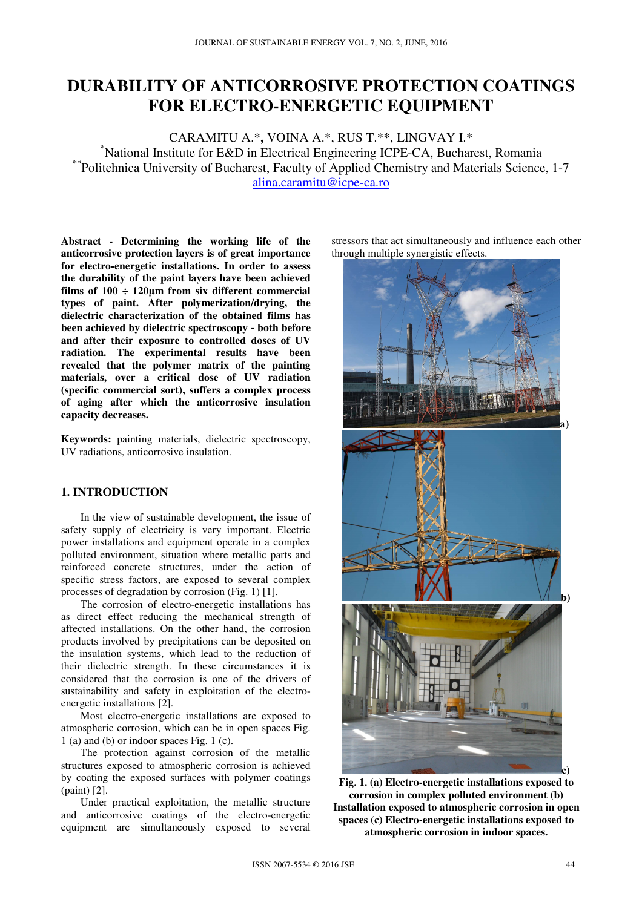# **DURABILITY OF ANTICORROSIVE PROTECTION COATINGS FOR ELECTRO-ENERGETIC EQUIPMENT**

CARAMITU A.\***,** VOINA A.\*, RUS T.\*\*, LINGVAY I.\* \*National Institute for E&D in Electrical Engineering ICPE-CA, Bucharest, Romania \*\*Politehnica University of Bucharest, Faculty of Applied Chemistry and Materials Science, 1-7 alina.caramitu@icpe-ca.ro

**Abstract - Determining the working life of the anticorrosive protection layers is of great importance for electro-energetic installations. In order to assess the durability of the paint layers have been achieved films of 100 ÷ 120µm from six different commercial types of paint. After polymerization/drying, the dielectric characterization of the obtained films has been achieved by dielectric spectroscopy - both before and after their exposure to controlled doses of UV radiation. The experimental results have been revealed that the polymer matrix of the painting materials, over a critical dose of UV radiation (specific commercial sort), suffers a complex process of aging after which the anticorrosive insulation capacity decreases.**

**Keywords:** painting materials, dielectric spectroscopy, UV radiations, anticorrosive insulation.

## **1. INTRODUCTION**

In the view of sustainable development, the issue of safety supply of electricity is very important. Electric power installations and equipment operate in a complex polluted environment, situation where metallic parts and reinforced concrete structures, under the action of specific stress factors, are exposed to several complex processes of degradation by corrosion (Fig. 1) [1].

The corrosion of electro-energetic installations has as direct effect reducing the mechanical strength of affected installations. On the other hand, the corrosion products involved by precipitations can be deposited on the insulation systems, which lead to the reduction of their dielectric strength. In these circumstances it is considered that the corrosion is one of the drivers of sustainability and safety in exploitation of the electroenergetic installations [2].

Most electro-energetic installations are exposed to atmospheric corrosion, which can be in open spaces Fig. 1 (a) and (b) or indoor spaces Fig. 1 (c).

The protection against corrosion of the metallic structures exposed to atmospheric corrosion is achieved by coating the exposed surfaces with polymer coatings (paint) [2].

Under practical exploitation, the metallic structure and anticorrosive coatings of the electro-energetic equipment are simultaneously exposed to several stressors that act simultaneously and influence each other through multiple synergistic effects.



**Fig. 1. (a) Electro-energetic installations exposed to corrosion in complex polluted environment (b) Installation exposed to atmospheric corrosion in open spaces (c) Electro-energetic installations exposed to atmospheric corrosion in indoor spaces.**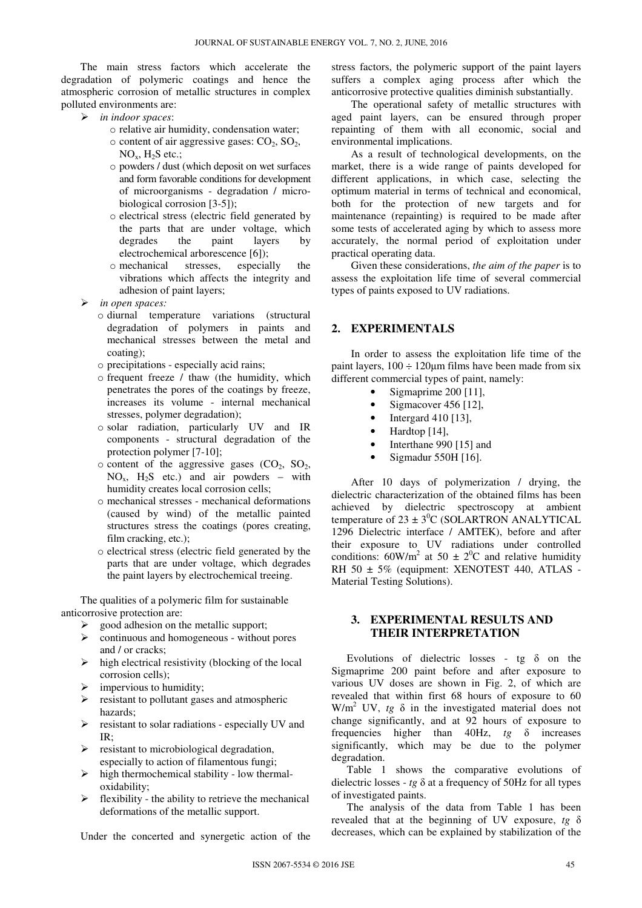The main stress factors which accelerate the degradation of polymeric coatings and hence the atmospheric corrosion of metallic structures in complex polluted environments are:

- *in indoor spaces*:
	- o relative air humidity, condensation water;
	- $\circ$  content of air aggressive gases:  $CO<sub>2</sub>$ ,  $SO<sub>2</sub>$ ,  $NO<sub>x</sub>$ ,  $H<sub>2</sub>S$  etc.;
	- o powders / dust (which deposit on wet surfaces and form favorable conditions for development of microorganisms - degradation / microbiological corrosion [3-5]);
	- o electrical stress (electric field generated by the parts that are under voltage, which degrades the paint layers by electrochemical arborescence [6]);
	- o mechanical stresses, especially the vibrations which affects the integrity and adhesion of paint layers;
- *in open spaces:* 
	- o diurnal temperature variations (structural degradation of polymers in paints and mechanical stresses between the metal and coating);
	- o precipitations especially acid rains;
	- o frequent freeze / thaw (the humidity, which penetrates the pores of the coatings by freeze, increases its volume - internal mechanical stresses, polymer degradation);
	- o solar radiation, particularly UV and IR components - structural degradation of the protection polymer [7-10];
	- $\circ$  content of the aggressive gases (CO<sub>2</sub>, SO<sub>2</sub>,  $NO<sub>x</sub>$ ,  $H<sub>2</sub>S$  etc.) and air powders – with humidity creates local corrosion cells;
	- o mechanical stresses mechanical deformations (caused by wind) of the metallic painted structures stress the coatings (pores creating, film cracking, etc.);
	- o electrical stress (electric field generated by the parts that are under voltage, which degrades the paint layers by electrochemical treeing.

The qualities of a polymeric film for sustainable anticorrosive protection are:

- $\triangleright$  good adhesion on the metallic support;
- continuous and homogeneous without pores and / or cracks;
- $\triangleright$  high electrical resistivity (blocking of the local corrosion cells);
- $\triangleright$  impervious to humidity;
- $\triangleright$  resistant to pollutant gases and atmospheric hazards;
- $\triangleright$  resistant to solar radiations especially UV and IR;
- $\triangleright$  resistant to microbiological degradation, especially to action of filamentous fungi;
- $\triangleright$  high thermochemical stability low thermaloxidability;
- $\triangleright$  flexibility the ability to retrieve the mechanical deformations of the metallic support.

Under the concerted and synergetic action of the

stress factors, the polymeric support of the paint layers suffers a complex aging process after which the anticorrosive protective qualities diminish substantially.

The operational safety of metallic structures with aged paint layers, can be ensured through proper repainting of them with all economic, social and environmental implications.

As a result of technological developments, on the market, there is a wide range of paints developed for different applications, in which case, selecting the optimum material in terms of technical and economical, both for the protection of new targets and for maintenance (repainting) is required to be made after some tests of accelerated aging by which to assess more accurately, the normal period of exploitation under practical operating data.

Given these considerations, *the aim of the paper* is to assess the exploitation life time of several commercial types of paints exposed to UV radiations.

## **2. EXPERIMENTALS**

In order to assess the exploitation life time of the paint layers,  $100 \div 120$ um films have been made from six different commercial types of paint, namely:

- Sigmaprime 200 [11],
- Sigmacover  $456$  [12],
- Intergard 410 [13],
- Hardtop [14],
- Interthane 990 [15] and
- Sigmadur 550H [16].

After 10 days of polymerization / drying, the dielectric characterization of the obtained films has been achieved by dielectric spectroscopy at ambient temperature of  $23 \pm 3^0C$  (SOLARTRON ANALYTICAL 1296 Dielectric interface / AMTEK), before and after their exposure to UV radiations under controlled conditions:  $60W/m^2$  at  $50 \pm 2^0C$  and relative humidity RH 50 ± 5% (equipment: XENOTEST 440, ATLAS - Material Testing Solutions).

#### **3. EXPERIMENTAL RESULTS AND THEIR INTERPRETATION**

Evolutions of dielectric losses - tg  $\delta$  on the Sigmaprime 200 paint before and after exposure to various UV doses are shown in Fig. 2, of which are revealed that within first 68 hours of exposure to 60 W/m<sup>2</sup> UV,  $tg \delta$  in the investigated material does not change significantly, and at 92 hours of exposure to frequencies higher than 40Hz, *tg* δ increases significantly, which may be due to the polymer degradation.

Table 1 shows the comparative evolutions of dielectric losses - *tg* δ at a frequency of 50Hz for all types of investigated paints.

The analysis of the data from Table 1 has been revealed that at the beginning of UV exposure, *tg* δ decreases, which can be explained by stabilization of the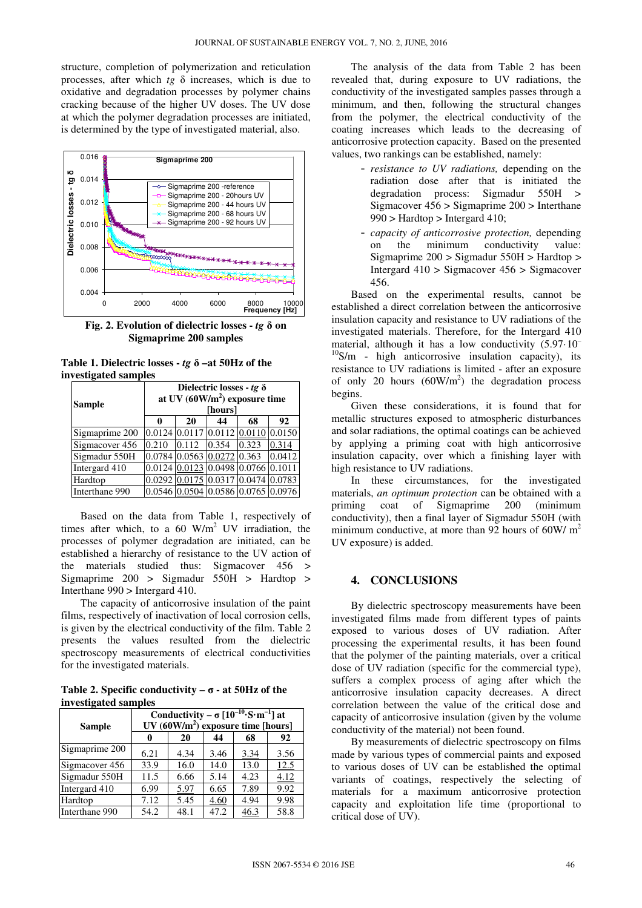structure, completion of polymerization and reticulation processes, after which *tg* δ increases, which is due to oxidative and degradation processes by polymer chains cracking because of the higher UV doses. The UV dose at which the polymer degradation processes are initiated, is determined by the type of investigated material, also.



**Fig. 2. Evolution of dielectric losses -** *tg* **δ on Sigmaprime 200 samples** 

**Table 1. Dielectric losses -** *tg* **δ –at 50Hz of the investigated samples** 

| $\sim$<br><b>Sample</b> | Dielectric losses - tg $\delta$<br>at UV $(60W/m2)$ exposure time<br>[hours] |                            |        |                                    |        |  |
|-------------------------|------------------------------------------------------------------------------|----------------------------|--------|------------------------------------|--------|--|
|                         | 0                                                                            | 20                         | 44     | 68                                 | 92     |  |
| Sigmaprime 200          | 0.0124                                                                       | 0.0117                     | 0.0112 |                                    | 0.0150 |  |
| Sigmacover 456          | 0.210                                                                        | 0.112                      | 0.354  | 0.323                              | 0.314  |  |
| Sigmadur 550H           |                                                                              | 0.0784 0.0563 0.0272 0.363 |        |                                    | 0.0412 |  |
| Intergard 410           |                                                                              |                            |        | 0.0124 0.0123 0.0498 0.0766 0.1011 |        |  |
| Hardtop                 |                                                                              |                            |        | 0.0292 0.0175 0.0317 0.0474 0.0783 |        |  |
| Interthane 990          |                                                                              |                            |        | 0.0546 0.0504 0.0586 0.0765 0.0976 |        |  |

Based on the data from Table 1, respectively of times after which, to a 60  $W/m^2$  UV irradiation, the processes of polymer degradation are initiated, can be established a hierarchy of resistance to the UV action of the materials studied thus: Sigmacover 456 > Sigmaprime 200 > Sigmadur 550H > Hardtop > Interthane 990 > Intergard 410.

The capacity of anticorrosive insulation of the paint films, respectively of inactivation of local corrosion cells, is given by the electrical conductivity of the film. Table 2 presents the values resulted from the dielectric spectroscopy measurements of electrical conductivities for the investigated materials.

**Table 2. Specific conductivity –**  $\sigma$  **- at 50Hz of the investigated samples** 

| <b>Sample</b>  | Conductivity – $\sigma$ $[10^{-10} S \cdot m^{-1}]$ at<br>UV $(60W/m2)$ exposure time [hours] |      |      |      |      |  |
|----------------|-----------------------------------------------------------------------------------------------|------|------|------|------|--|
|                |                                                                                               | 20   | 44   | 68   | 92   |  |
| Sigmaprime 200 | 6.21                                                                                          | 4.34 | 3.46 | 3.34 | 3.56 |  |
| Sigmacover 456 | 33.9                                                                                          | 16.0 | 14.0 | 13.0 | 12.5 |  |
| Sigmadur 550H  | 11.5                                                                                          | 6.66 | 5.14 | 4.23 | 4.12 |  |
| Intergard 410  | 6.99                                                                                          | 5.97 | 6.65 | 7.89 | 9.92 |  |
| Hardtop        | 7.12                                                                                          | 5.45 | 4.60 | 4.94 | 9.98 |  |
| Interthane 990 | 54.2                                                                                          | 48.1 | 47.2 | 46.3 | 58.8 |  |

The analysis of the data from Table 2 has been revealed that, during exposure to UV radiations, the conductivity of the investigated samples passes through a minimum, and then, following the structural changes from the polymer, the electrical conductivity of the coating increases which leads to the decreasing of anticorrosive protection capacity. Based on the presented values, two rankings can be established, namely:

- *resistance to UV radiations,* depending on the radiation dose after that is initiated the degradation process: Sigmadur 550H > Sigmacover 456 > Sigmaprime 200 > Interthane 990 > Hardtop > Intergard 410;
- *capacity of anticorrosive protection,* depending on the minimum conductivity value: Sigmaprime 200 > Sigmadur 550H > Hardtop > Intergard 410 > Sigmacover 456 > Sigmacover 456.

Based on the experimental results, cannot be established a direct correlation between the anticorrosive insulation capacity and resistance to UV radiations of the investigated materials. Therefore, for the Intergard 410 material, although it has a low conductivity (5.97·10–  $10$ S/m - high anticorrosive insulation capacity), its resistance to UV radiations is limited - after an exposure of only 20 hours  $(60W/m<sup>2</sup>)$  the degradation process begins.

Given these considerations, it is found that for metallic structures exposed to atmospheric disturbances and solar radiations, the optimal coatings can be achieved by applying a priming coat with high anticorrosive insulation capacity, over which a finishing layer with high resistance to UV radiations.

In these circumstances, for the investigated materials, *an optimum protection* can be obtained with a priming coat of Sigmaprime 200 (minimum conductivity), then a final layer of Sigmadur 550H (with minimum conductive, at more than 92 hours of 60W/ $m<sup>2</sup>$ UV exposure) is added.

#### **4. CONCLUSIONS**

By dielectric spectroscopy measurements have been investigated films made from different types of paints exposed to various doses of UV radiation. After processing the experimental results, it has been found that the polymer of the painting materials, over a critical dose of UV radiation (specific for the commercial type), suffers a complex process of aging after which the anticorrosive insulation capacity decreases. A direct correlation between the value of the critical dose and capacity of anticorrosive insulation (given by the volume conductivity of the material) not been found.

By measurements of dielectric spectroscopy on films made by various types of commercial paints and exposed to various doses of UV can be established the optimal variants of coatings, respectively the selecting of materials for a maximum anticorrosive protection capacity and exploitation life time (proportional to critical dose of UV).